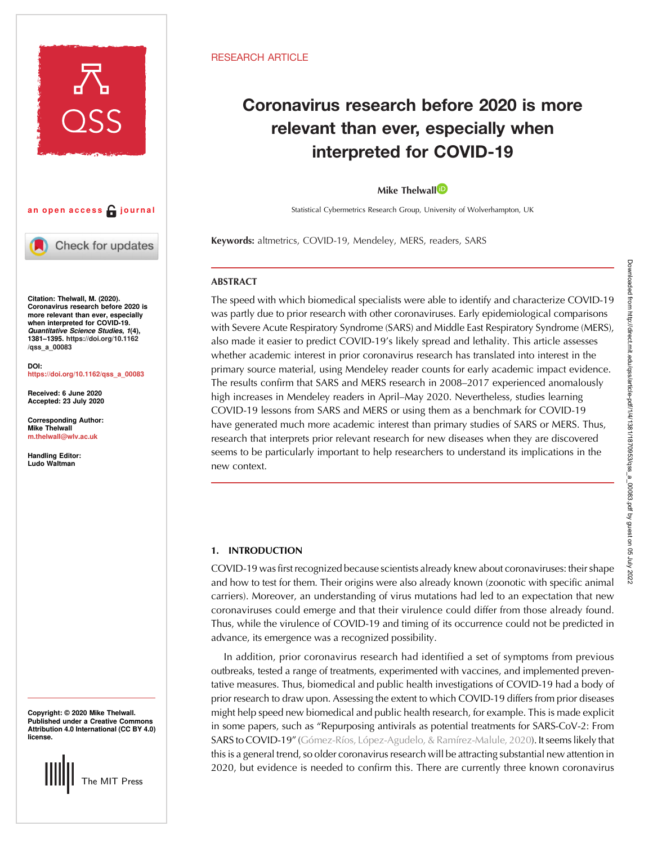



Check for updates

Citation: Thelwall, M. (2020). Coronavirus research before 2020 is more relevant than ever, especially when interpreted for COVID-19. Quantitative Science Studies, 1(4), 1381–1395. [https://doi.org/10.1162](https://doi.org/10.1162/qss_a_00083) [/qss\\_a\\_00083](https://doi.org/10.1162/qss_a_00083)

DOI: [https://doi.org/10.1162/qss\\_a\\_00083](https://doi.org/10.1162/qss_a_00083)

Received: 6 June 2020 Accepted: 23 July 2020

Corresponding Author: Mike Thelwall [m.thelwall@wlv.ac.uk](mailto:m.thelwall@wlv.ac.uk)

Handling Editor: Ludo Waltman

Copyright: © 2020 Mike Thelwall. Published under a Creative Commons Attribution 4.0 International (CC BY 4.0) license.



## RESEARCH ARTICLE

# Coronavirus research before 2020 is more relevant than ever, especially when interpreted for COVID-19

# Mike The[l](https://orcid.org/0000-0001-6065-205X)wall<sup>D</sup>

Statistical Cybermetrics Research Group, University of Wolverhampton, UK

Keywords: altmetrics, COVID-19, Mendeley, MERS, readers, SARS

# **ABSTRACT**

The speed with which biomedical specialists were able to identify and characterize COVID-19 was partly due to prior research with other coronaviruses. Early epidemiological comparisons with Severe Acute Respiratory Syndrome (SARS) and Middle East Respiratory Syndrome (MERS), also made it easier to predict COVID-19's likely spread and lethality. This article assesses whether academic interest in prior coronavirus research has translated into interest in the primary source material, using Mendeley reader counts for early academic impact evidence. The results confirm that SARS and MERS research in 2008–2017 experienced anomalously high increases in Mendeley readers in April–May 2020. Nevertheless, studies learning COVID-19 lessons from SARS and MERS or using them as a benchmark for COVID-19 have generated much more academic interest than primary studies of SARS or MERS. Thus, research that interprets prior relevant research for new diseases when they are discovered seems to be particularly important to help researchers to understand its implications in the new context.

# 1. INTRODUCTION

COVID-19 was first recognized because scientists already knew about coronaviruses: their shape and how to test for them. Their origins were also already known (zoonotic with specific animal carriers). Moreover, an understanding of virus mutations had led to an expectation that new coronaviruses could emerge and that their virulence could differ from those already found. Thus, while the virulence of COVID-19 and timing of its occurrence could not be predicted in advance, its emergence was a recognized possibility.

In addition, prior coronavirus research had identified a set of symptoms from previous outbreaks, tested a range of treatments, experimented with vaccines, and implemented preventative measures. Thus, biomedical and public health investigations of COVID-19 had a body of prior research to draw upon. Assessing the extent to which COVID-19 differs from prior diseases might help speed new biomedical and public health research, for example. This is made explicit in some papers, such as "Repurposing antivirals as potential treatments for SARS-CoV-2: From SARS to COVID-19" [\(Gómez-Ríos, López-Agudelo, & Ramírez-Malule, 2020](#page-10-0)). It seems likely that this is a general trend, so older coronavirus research will be attracting substantial new attention in 2020, but evidence is needed to confirm this. There are currently three known coronavirus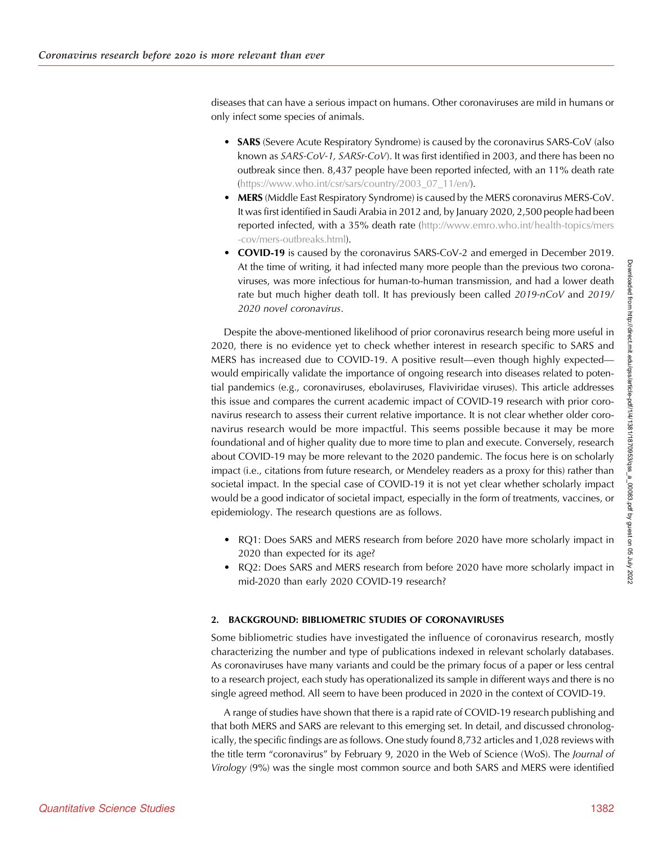diseases that can have a serious impact on humans. Other coronaviruses are mild in humans or only infect some species of animals.

- **SARS** (Severe Acute Respiratory Syndrome) is caused by the coronavirus SARS-CoV (also known as SARS-CoV-1, SARSr-CoV). It was first identified in 2003, and there has been no outbreak since then. 8,437 people have been reported infected, with an 11% death rate [\(https://www.who.int/csr/sars/country/2003\\_07\\_11/en/](http://www.emro.who.int/health-topics/mers-cov/mers-outbreaks.html)).
- MERS (Middle East Respiratory Syndrome) is caused by the MERS coronavirus MERS-CoV. It was first identified in Saudi Arabia in 2012 and, by January 2020, 2,500 people had been reported infected, with a 35% death rate [\(http://www.emro.who.int/health-topics/mers](http://www.emro.who.int/health-topics/mers-cov/mers-outbreaks.html) [-cov/mers-outbreaks.html](http://www.emro.who.int/health-topics/mers-cov/mers-outbreaks.html)).
- COVID-19 is caused by the coronavirus SARS-CoV-2 and emerged in December 2019. At the time of writing, it had infected many more people than the previous two coronaviruses, was more infectious for human-to-human transmission, and had a lower death rate but much higher death toll. It has previously been called 2019-nCoV and 2019/ 2020 novel coronavirus.

Despite the above-mentioned likelihood of prior coronavirus research being more useful in 2020, there is no evidence yet to check whether interest in research specific to SARS and MERS has increased due to COVID-19. A positive result—even though highly expected would empirically validate the importance of ongoing research into diseases related to potential pandemics (e.g., coronaviruses, ebolaviruses, Flaviviridae viruses). This article addresses this issue and compares the current academic impact of COVID-19 research with prior coronavirus research to assess their current relative importance. It is not clear whether older coronavirus research would be more impactful. This seems possible because it may be more foundational and of higher quality due to more time to plan and execute. Conversely, research about COVID-19 may be more relevant to the 2020 pandemic. The focus here is on scholarly impact (i.e., citations from future research, or Mendeley readers as a proxy for this) rather than societal impact. In the special case of COVID-19 it is not yet clear whether scholarly impact would be a good indicator of societal impact, especially in the form of treatments, vaccines, or epidemiology. The research questions are as follows.

- RQ1: Does SARS and MERS research from before 2020 have more scholarly impact in 2020 than expected for its age?
- RQ2: Does SARS and MERS research from before 2020 have more scholarly impact in mid-2020 than early 2020 COVID-19 research?

# 2. BACKGROUND: BIBLIOMETRIC STUDIES OF CORONAVIRUSES

Some bibliometric studies have investigated the influence of coronavirus research, mostly characterizing the number and type of publications indexed in relevant scholarly databases. As coronaviruses have many variants and could be the primary focus of a paper or less central to a research project, each study has operationalized its sample in different ways and there is no single agreed method. All seem to have been produced in 2020 in the context of COVID-19.

A range of studies have shown that there is a rapid rate of COVID-19 research publishing and that both MERS and SARS are relevant to this emerging set. In detail, and discussed chronologically, the specific findings are as follows. One study found 8,732 articles and 1,028 reviews with the title term "coronavirus" by February 9, 2020 in the Web of Science (WoS). The Journal of Virology (9%) was the single most common source and both SARS and MERS were identified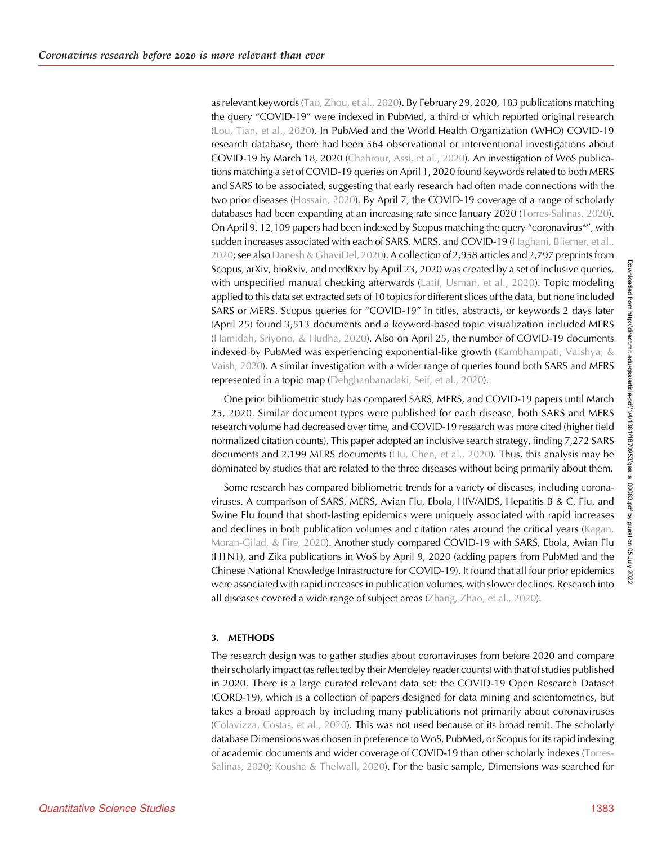as relevant keywords ([Tao, Zhou, et al., 2020](#page-10-0)). By February 29, 2020, 183 publications matching the query "COVID-19" were indexed in PubMed, a third of which reported original research ([Lou, Tian, et al., 2020](#page-10-0)). In PubMed and the World Health Organization (WHO) COVID-19 research database, there had been 564 observational or interventional investigations about COVID-19 by March 18, 2020 [\(Chahrour, Assi, et al., 2020\)](#page-10-0). An investigation of WoS publications matching a set of COVID-19 queries on April 1, 2020 found keywords related to both MERS and SARS to be associated, suggesting that early research had often made connections with the two prior diseases [\(Hossain, 2020](#page-10-0)). By April 7, the COVID-19 coverage of a range of scholarly databases had been expanding at an increasing rate since January 2020 [\(Torres-Salinas, 2020\)](#page-11-0). On April 9, 12,109 papers had been indexed by Scopus matching the query "coronavirus\*", with sudden increases associated with each of SARS, MERS, and COVID-19 [\(Haghani, Bliemer, et al.,](#page-10-0) [2020;](#page-10-0) see also [Danesh & GhaviDel, 2020](#page-10-0)). A collection of 2,958 articles and 2,797 preprints from Scopus, arXiv, bioRxiv, and medRxiv by April 23, 2020 was created by a set of inclusive queries, with unspecified manual checking afterwards ([Latif, Usman, et al., 2020\)](#page-10-0). Topic modeling applied to this data set extracted sets of 10 topics for different slices of the data, but none included SARS or MERS. Scopus queries for "COVID-19" in titles, abstracts, or keywords 2 days later (April 25) found 3,513 documents and a keyword-based topic visualization included MERS ([Hamidah, Sriyono, & Hudha, 2020\)](#page-10-0). Also on April 25, the number of COVID-19 documents indexed by PubMed was experiencing exponential-like growth (Kambhampati, Vaishya,  $\&$ [Vaish, 2020](#page-10-0)). A similar investigation with a wider range of queries found both SARS and MERS represented in a topic map ([Dehghanbanadaki, Seif, et al., 2020](#page-10-0)).

One prior bibliometric study has compared SARS, MERS, and COVID-19 papers until March 25, 2020. Similar document types were published for each disease, both SARS and MERS research volume had decreased over time, and COVID-19 research was more cited (higher field normalized citation counts). This paper adopted an inclusive search strategy, finding 7,272 SARS documents and 2,199 MERS documents ([Hu, Chen, et al., 2020](#page-10-0)). Thus, this analysis may be dominated by studies that are related to the three diseases without being primarily about them.

Some research has compared bibliometric trends for a variety of diseases, including coronaviruses. A comparison of SARS, MERS, Avian Flu, Ebola, HIV/AIDS, Hepatitis B & C, Flu, and Swine Flu found that short-lasting epidemics were uniquely associated with rapid increases and declines in both publication volumes and citation rates around the critical years [\(Kagan,](#page-10-0) [Moran-Gilad, & Fire, 2020\)](#page-10-0). Another study compared COVID-19 with SARS, Ebola, Avian Flu (H1N1), and Zika publications in WoS by April 9, 2020 (adding papers from PubMed and the Chinese National Knowledge Infrastructure for COVID-19). It found that all four prior epidemics were associated with rapid increases in publication volumes, with slower declines. Research into all diseases covered a wide range of subject areas [\(Zhang, Zhao, et al., 2020\)](#page-11-0).

# 3. METHODS

The research design was to gather studies about coronaviruses from before 2020 and compare their scholarly impact (as reflected by their Mendeley reader counts) with that of studies published in 2020. There is a large curated relevant data set: the COVID-19 Open Research Dataset (CORD-19), which is a collection of papers designed for data mining and scientometrics, but takes a broad approach by including many publications not primarily about coronaviruses ([Colavizza, Costas, et al., 2020](#page-10-0)). This was not used because of its broad remit. The scholarly database Dimensions was chosen in preference to WoS, PubMed, or Scopus for its rapid indexing of academic documents and wider coverage of COVID-19 than other scholarly indexes [\(Torres-](#page-11-0)[Salinas, 2020](#page-11-0); [Kousha & Thelwall, 2020\)](#page-10-0). For the basic sample, Dimensions was searched for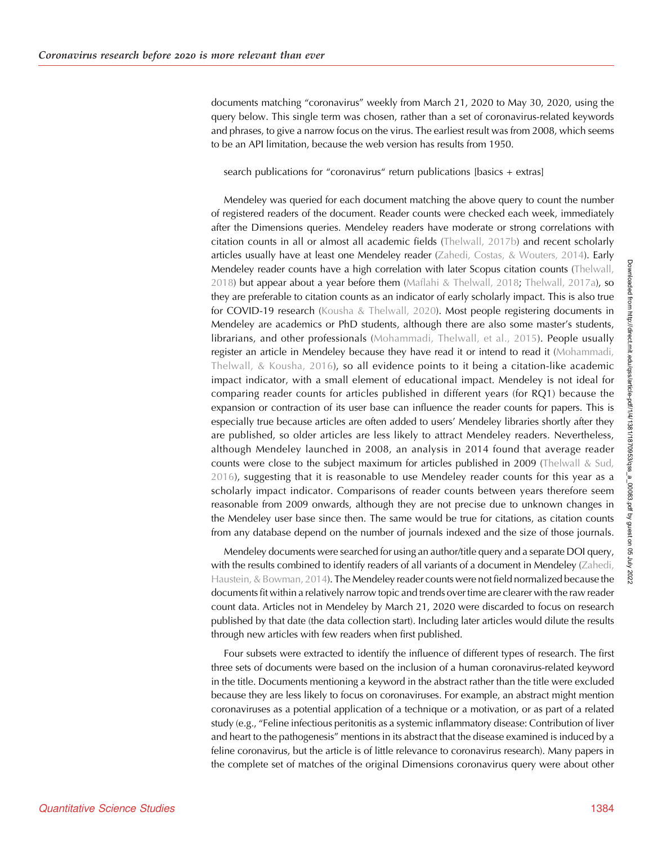documents matching "coronavirus" weekly from March 21, 2020 to May 30, 2020, using the query below. This single term was chosen, rather than a set of coronavirus-related keywords and phrases, to give a narrow focus on the virus. The earliest result was from 2008, which seems to be an API limitation, because the web version has results from 1950.

search publications for "coronavirus" return publications [basics + extras]

Mendeley was queried for each document matching the above query to count the number of registered readers of the document. Reader counts were checked each week, immediately after the Dimensions queries. Mendeley readers have moderate or strong correlations with citation counts in all or almost all academic fields [\(Thelwall, 2017b](#page-11-0)) and recent scholarly articles usually have at least one Mendeley reader ([Zahedi, Costas, & Wouters, 2014\)](#page-11-0). Early Mendeley reader counts have a high correlation with later Scopus citation counts ([Thelwall,](#page-11-0) [2018\)](#page-11-0) but appear about a year before them [\(Maflahi & Thelwall, 2018;](#page-10-0) [Thelwall, 2017a\)](#page-10-0), so they are preferable to citation counts as an indicator of early scholarly impact. This is also true for COVID-19 research ([Kousha & Thelwall, 2020\)](#page-10-0). Most people registering documents in Mendeley are academics or PhD students, although there are also some master's students, librarians, and other professionals ([Mohammadi, Thelwall, et al., 2015\)](#page-10-0). People usually register an article in Mendeley because they have read it or intend to read it ([Mohammadi,](#page-10-0) [Thelwall, & Kousha, 2016](#page-10-0)), so all evidence points to it being a citation-like academic impact indicator, with a small element of educational impact. Mendeley is not ideal for comparing reader counts for articles published in different years (for RQ1) because the expansion or contraction of its user base can influence the reader counts for papers. This is especially true because articles are often added to users' Mendeley libraries shortly after they are published, so older articles are less likely to attract Mendeley readers. Nevertheless, although Mendeley launched in 2008, an analysis in 2014 found that average reader counts were close to the subject maximum for articles published in 2009 [\(Thelwall & Sud,](#page-11-0) [2016\)](#page-11-0), suggesting that it is reasonable to use Mendeley reader counts for this year as a scholarly impact indicator. Comparisons of reader counts between years therefore seem reasonable from 2009 onwards, although they are not precise due to unknown changes in the Mendeley user base since then. The same would be true for citations, as citation counts from any database depend on the number of journals indexed and the size of those journals.

Mendeley documents were searched for using an author/title query and a separate DOI query, with the results combined to identify readers of all variants of a document in Mendeley [\(Zahedi,](#page-11-0) [Haustein, & Bowman, 2014\)](#page-11-0). The Mendeley reader counts were not field normalized because the documents fit within a relatively narrow topic and trends over time are clearer with the raw reader count data. Articles not in Mendeley by March 21, 2020 were discarded to focus on research published by that date (the data collection start). Including later articles would dilute the results through new articles with few readers when first published.

Four subsets were extracted to identify the influence of different types of research. The first three sets of documents were based on the inclusion of a human coronavirus-related keyword in the title. Documents mentioning a keyword in the abstract rather than the title were excluded because they are less likely to focus on coronaviruses. For example, an abstract might mention coronaviruses as a potential application of a technique or a motivation, or as part of a related study (e.g., "Feline infectious peritonitis as a systemic inflammatory disease: Contribution of liver and heart to the pathogenesis" mentions in its abstract that the disease examined is induced by a feline coronavirus, but the article is of little relevance to coronavirus research). Many papers in the complete set of matches of the original Dimensions coronavirus query were about other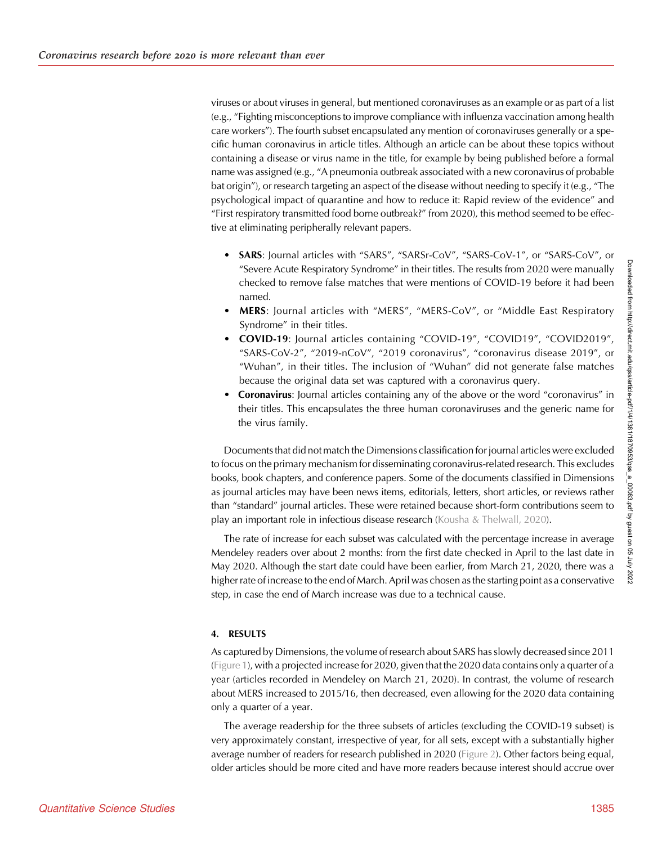viruses or about viruses in general, but mentioned coronaviruses as an example or as part of a list (e.g., "Fighting misconceptions to improve compliance with influenza vaccination among health care workers"). The fourth subset encapsulated any mention of coronaviruses generally or a specific human coronavirus in article titles. Although an article can be about these topics without containing a disease or virus name in the title, for example by being published before a formal name was assigned (e.g., "A pneumonia outbreak associated with a new coronavirus of probable bat origin"), or research targeting an aspect of the disease without needing to specify it (e.g., "The psychological impact of quarantine and how to reduce it: Rapid review of the evidence" and "First respiratory transmitted food borne outbreak?" from 2020), this method seemed to be effective at eliminating peripherally relevant papers.

- SARS: Journal articles with "SARS", "SARSr-CoV", "SARS-CoV-1", or "SARS-CoV", or "Severe Acute Respiratory Syndrome" in their titles. The results from 2020 were manually checked to remove false matches that were mentions of COVID-19 before it had been named.
- MERS: Journal articles with "MERS", "MERS-CoV", or "Middle East Respiratory Syndrome" in their titles.
- COVID-19: Journal articles containing "COVID-19", "COVID19", "COVID2019", "SARS-CoV-2", "2019-nCoV", "2019 coronavirus", "coronavirus disease 2019", or "Wuhan", in their titles. The inclusion of "Wuhan" did not generate false matches because the original data set was captured with a coronavirus query.
- Coronavirus: Journal articles containing any of the above or the word "coronavirus" in their titles. This encapsulates the three human coronaviruses and the generic name for the virus family.

Documents that did not match the Dimensions classification for journal articles were excluded to focus on the primary mechanism for disseminating coronavirus-related research. This excludes books, book chapters, and conference papers. Some of the documents classified in Dimensions as journal articles may have been news items, editorials, letters, short articles, or reviews rather than "standard" journal articles. These were retained because short-form contributions seem to play an important role in infectious disease research ([Kousha & Thelwall, 2020](#page-10-0)).

The rate of increase for each subset was calculated with the percentage increase in average Mendeley readers over about 2 months: from the first date checked in April to the last date in May 2020. Although the start date could have been earlier, from March 21, 2020, there was a higher rate of increase to the end of March. April was chosen as the starting point as a conservative step, in case the end of March increase was due to a technical cause.

# 4. RESULTS

As captured by Dimensions, the volume of research about SARS has slowly decreased since 2011 ([Figure 1](#page-5-0)), with a projected increase for 2020, given that the 2020 data contains only a quarter of a year (articles recorded in Mendeley on March 21, 2020). In contrast, the volume of research about MERS increased to 2015/16, then decreased, even allowing for the 2020 data containing only a quarter of a year.

The average readership for the three subsets of articles (excluding the COVID-19 subset) is very approximately constant, irrespective of year, for all sets, except with a substantially higher average number of readers for research published in 2020 ([Figure 2\)](#page-5-0). Other factors being equal, older articles should be more cited and have more readers because interest should accrue over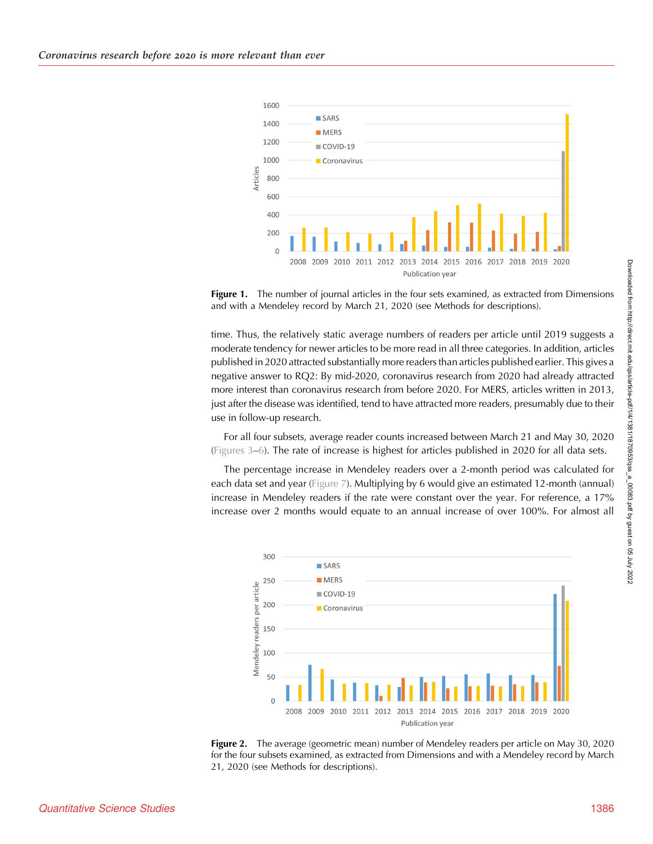<span id="page-5-0"></span>

Figure 1. The number of journal articles in the four sets examined, as extracted from Dimensions and with a Mendeley record by March 21, 2020 (see Methods for descriptions).

time. Thus, the relatively static average numbers of readers per article until 2019 suggests a moderate tendency for newer articles to be more read in all three categories. In addition, articles published in 2020 attracted substantially more readers than articles published earlier. This gives a negative answer to RQ2: By mid-2020, coronavirus research from 2020 had already attracted more interest than coronavirus research from before 2020. For MERS, articles written in 2013, just after the disease was identified, tend to have attracted more readers, presumably due to their use in follow-up research.

For all four subsets, average reader counts increased between March 21 and May 30, 2020 ([Figures 3](#page-6-0)–[6\)](#page-7-0). The rate of increase is highest for articles published in 2020 for all data sets.

The percentage increase in Mendeley readers over a 2-month period was calculated for each data set and year [\(Figure 7](#page-8-0)). Multiplying by 6 would give an estimated 12-month (annual) increase in Mendeley readers if the rate were constant over the year. For reference, a 17% increase over 2 months would equate to an annual increase of over 100%. For almost all



Figure 2. The average (geometric mean) number of Mendeley readers per article on May 30, 2020 for the four subsets examined, as extracted from Dimensions and with a Mendeley record by March 21, 2020 (see Methods for descriptions).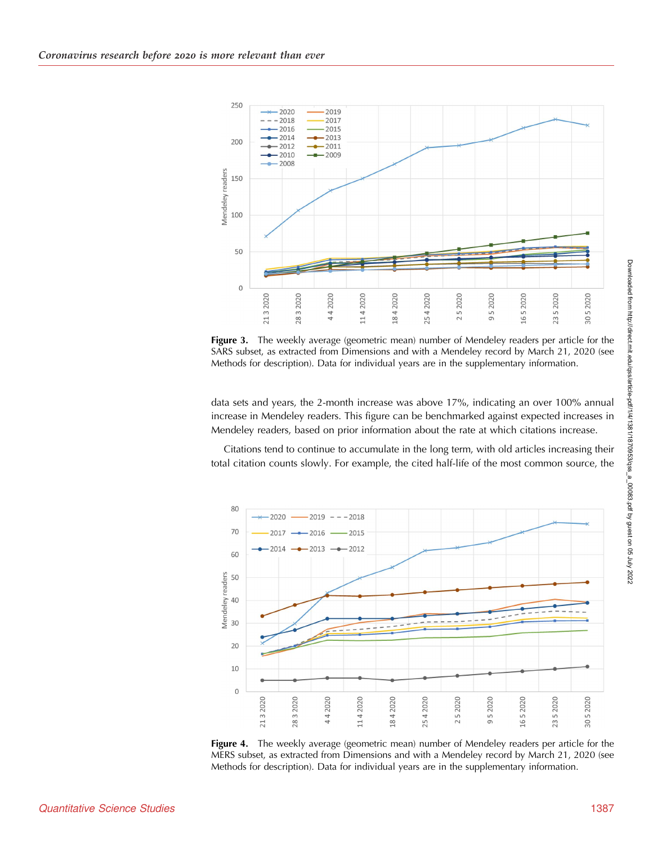<span id="page-6-0"></span>

Figure 3. The weekly average (geometric mean) number of Mendeley readers per article for the SARS subset, as extracted from Dimensions and with a Mendeley record by March 21, 2020 (see Methods for description). Data for individual years are in the supplementary information.

data sets and years, the 2-month increase was above 17%, indicating an over 100% annual increase in Mendeley readers. This figure can be benchmarked against expected increases in Mendeley readers, based on prior information about the rate at which citations increase.

Citations tend to continue to accumulate in the long term, with old articles increasing their total citation counts slowly. For example, the cited half-life of the most common source, the



Figure 4. The weekly average (geometric mean) number of Mendeley readers per article for the MERS subset, as extracted from Dimensions and with a Mendeley record by March 21, 2020 (see Methods for description). Data for individual years are in the supplementary information.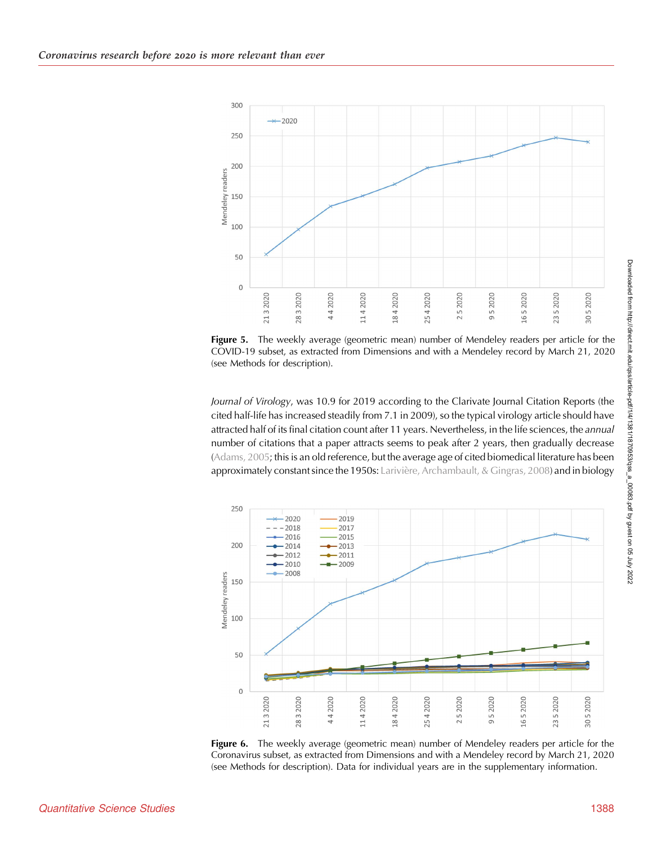<span id="page-7-0"></span>

Figure 5. The weekly average (geometric mean) number of Mendeley readers per article for the COVID-19 subset, as extracted from Dimensions and with a Mendeley record by March 21, 2020 (see Methods for description).

Journal of Virology, was 10.9 for 2019 according to the Clarivate Journal Citation Reports (the cited half-life has increased steadily from 7.1 in 2009), so the typical virology article should have attracted half of its final citation count after 11 years. Nevertheless, in the life sciences, the annual number of citations that a paper attracts seems to peak after 2 years, then gradually decrease ([Adams, 2005](#page-10-0); this is an old reference, but the average age of cited biomedical literature has been approximately constant since the 1950s: [Larivière, Archambault, & Gingras, 2008\)](#page-10-0) and in biology



Figure 6. The weekly average (geometric mean) number of Mendeley readers per article for the Coronavirus subset, as extracted from Dimensions and with a Mendeley record by March 21, 2020 (see Methods for description). Data for individual years are in the supplementary information.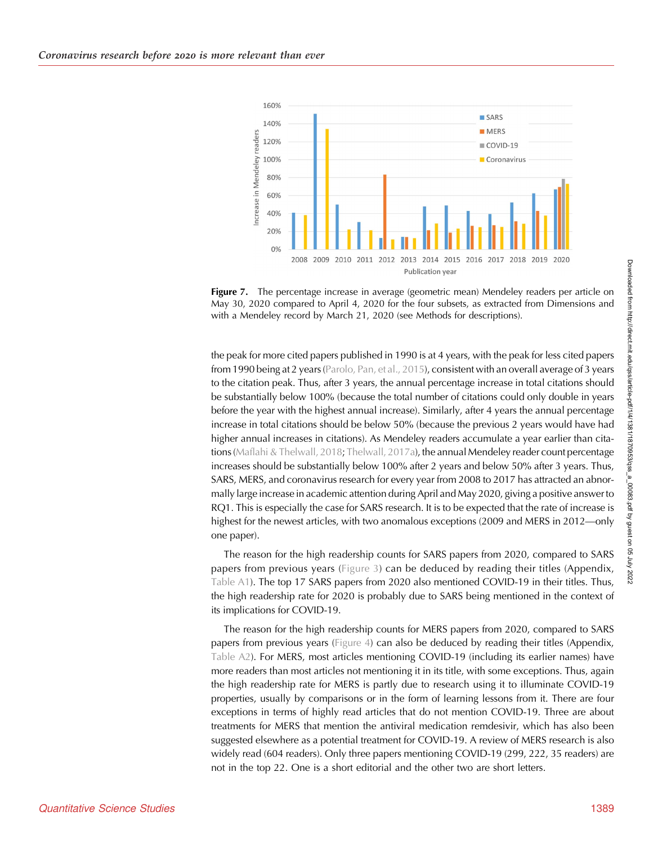<span id="page-8-0"></span>

**Figure 7.** The percentage increase in average (geometric mean) Mendeley readers per article on May 30, 2020 compared to April 4, 2020 for the four subsets, as extracted from Dimensions and with a Mendeley record by March 21, 2020 (see Methods for descriptions).

the peak for more cited papers published in 1990 is at 4 years, with the peak for less cited papers from 1990 being at 2 years [\(Parolo, Pan, et al., 2015](#page-10-0)), consistent with an overall average of 3 years to the citation peak. Thus, after 3 years, the annual percentage increase in total citations should be substantially below 100% (because the total number of citations could only double in years before the year with the highest annual increase). Similarly, after 4 years the annual percentage increase in total citations should be below 50% (because the previous 2 years would have had higher annual increases in citations). As Mendeley readers accumulate a year earlier than cita-tions [\(Maflahi & Thelwall, 2018](#page-10-0); [Thelwall, 2017a](#page-10-0)), the annual Mendeley reader count percentage increases should be substantially below 100% after 2 years and below 50% after 3 years. Thus, SARS, MERS, and coronavirus research for every year from 2008 to 2017 has attracted an abnormally large increase in academic attention during April and May 2020, giving a positive answer to RQ1. This is especially the case for SARS research. It is to be expected that the rate of increase is highest for the newest articles, with two anomalous exceptions (2009 and MERS in 2012—only one paper).

The reason for the high readership counts for SARS papers from 2020, compared to SARS papers from previous years [\(Figure 3\)](#page-6-0) can be deduced by reading their titles (Appendix, [Table A1\)](#page-11-0). The top 17 SARS papers from 2020 also mentioned COVID-19 in their titles. Thus, the high readership rate for 2020 is probably due to SARS being mentioned in the context of its implications for COVID-19.

The reason for the high readership counts for MERS papers from 2020, compared to SARS papers from previous years ([Figure 4](#page-6-0)) can also be deduced by reading their titles (Appendix, [Table A2](#page-12-0)). For MERS, most articles mentioning COVID-19 (including its earlier names) have more readers than most articles not mentioning it in its title, with some exceptions. Thus, again the high readership rate for MERS is partly due to research using it to illuminate COVID-19 properties, usually by comparisons or in the form of learning lessons from it. There are four exceptions in terms of highly read articles that do not mention COVID-19. Three are about treatments for MERS that mention the antiviral medication remdesivir, which has also been suggested elsewhere as a potential treatment for COVID-19. A review of MERS research is also widely read (604 readers). Only three papers mentioning COVID-19 (299, 222, 35 readers) are not in the top 22. One is a short editorial and the other two are short letters.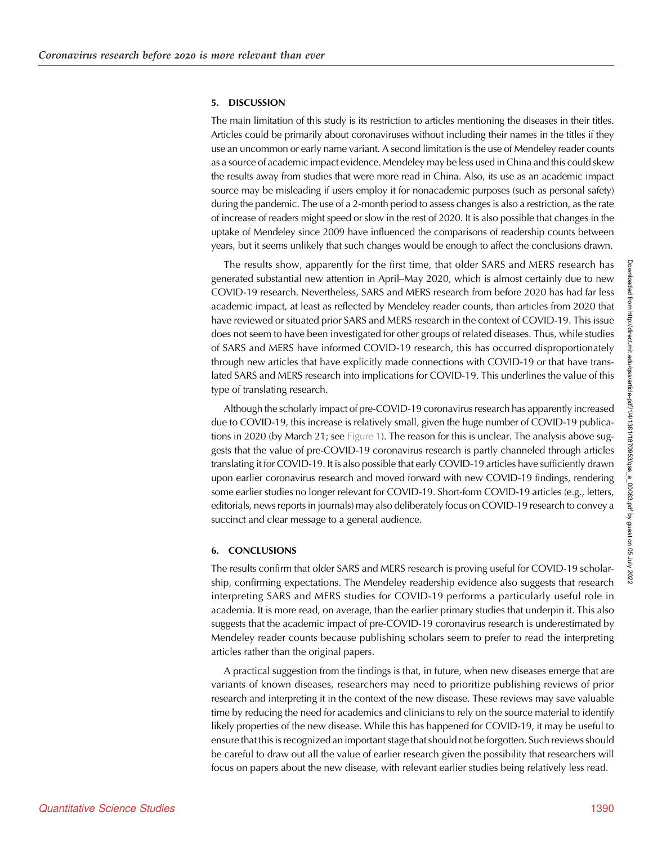#### 5. DISCUSSION

The main limitation of this study is its restriction to articles mentioning the diseases in their titles. Articles could be primarily about coronaviruses without including their names in the titles if they use an uncommon or early name variant. A second limitation is the use of Mendeley reader counts as a source of academic impact evidence. Mendeley may be less used in China and this could skew the results away from studies that were more read in China. Also, its use as an academic impact source may be misleading if users employ it for nonacademic purposes (such as personal safety) during the pandemic. The use of a 2-month period to assess changes is also a restriction, as the rate of increase of readers might speed or slow in the rest of 2020. It is also possible that changes in the uptake of Mendeley since 2009 have influenced the comparisons of readership counts between years, but it seems unlikely that such changes would be enough to affect the conclusions drawn.

The results show, apparently for the first time, that older SARS and MERS research has generated substantial new attention in April–May 2020, which is almost certainly due to new COVID-19 research. Nevertheless, SARS and MERS research from before 2020 has had far less academic impact, at least as reflected by Mendeley reader counts, than articles from 2020 that have reviewed or situated prior SARS and MERS research in the context of COVID-19. This issue does not seem to have been investigated for other groups of related diseases. Thus, while studies of SARS and MERS have informed COVID-19 research, this has occurred disproportionately through new articles that have explicitly made connections with COVID-19 or that have translated SARS and MERS research into implications for COVID-19. This underlines the value of this type of translating research.

Although the scholarly impact of pre-COVID-19 coronavirus research has apparently increased due to COVID-19, this increase is relatively small, given the huge number of COVID-19 publica-tions in 2020 (by March 21; see [Figure 1\)](#page-5-0). The reason for this is unclear. The analysis above suggests that the value of pre-COVID-19 coronavirus research is partly channeled through articles translating it for COVID-19. It is also possible that early COVID-19 articles have sufficiently drawn upon earlier coronavirus research and moved forward with new COVID-19 findings, rendering some earlier studies no longer relevant for COVID-19. Short-form COVID-19 articles (e.g., letters, editorials, news reports in journals) may also deliberately focus on COVID-19 research to convey a succinct and clear message to a general audience.

#### 6. CONCLUSIONS

The results confirm that older SARS and MERS research is proving useful for COVID-19 scholarship, confirming expectations. The Mendeley readership evidence also suggests that research interpreting SARS and MERS studies for COVID-19 performs a particularly useful role in academia. It is more read, on average, than the earlier primary studies that underpin it. This also suggests that the academic impact of pre-COVID-19 coronavirus research is underestimated by Mendeley reader counts because publishing scholars seem to prefer to read the interpreting articles rather than the original papers.

A practical suggestion from the findings is that, in future, when new diseases emerge that are variants of known diseases, researchers may need to prioritize publishing reviews of prior research and interpreting it in the context of the new disease. These reviews may save valuable time by reducing the need for academics and clinicians to rely on the source material to identify likely properties of the new disease. While this has happened for COVID-19, it may be useful to ensure that this is recognized an important stage that should not be forgotten. Such reviews should be careful to draw out all the value of earlier research given the possibility that researchers will focus on papers about the new disease, with relevant earlier studies being relatively less read.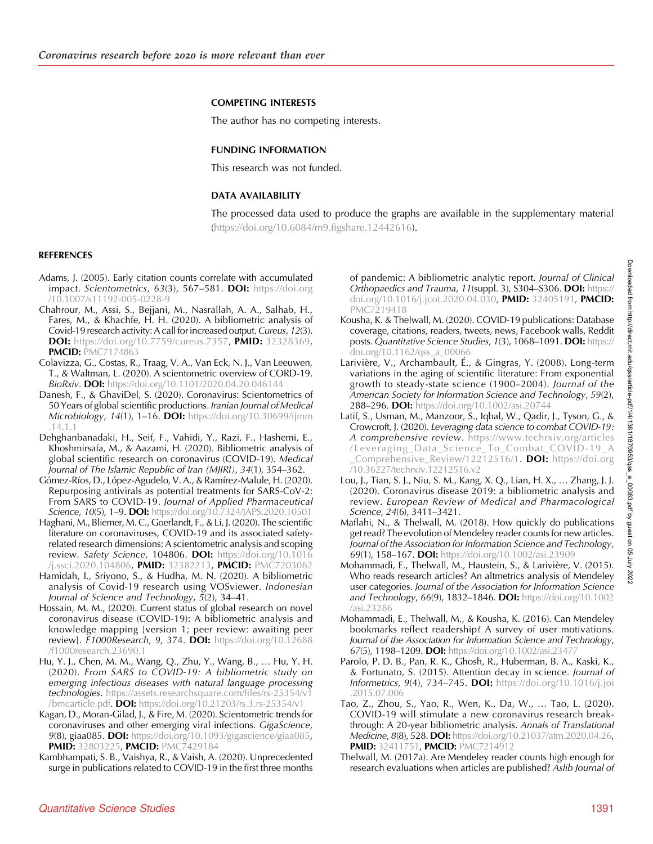## <span id="page-10-0"></span>COMPETING INTERESTS

The author has no competing interests.

#### FUNDING INFORMATION

This research was not funded.

## DATA AVAILABILITY

The processed data used to produce the graphs are available in the supplementary material (<https://doi.org/10.6084/m9.figshare.12442616>).

### REFERENCES

- Adams, J. (2005). Early citation counts correlate with accumulated impact. Scientometrics, 63(3), 567-581. DOI: [https://doi.org](https://doi.org/10.1007/s11192-005-0228-9) [/10.1007/s11192-005-0228-9](https://doi.org/10.1007/s11192-005-0228-9)
- Chahrour, M., Assi, S., Bejjani, M., Nasrallah, A. A., Salhab, H., Fares, M., & Khachfe, H. H. (2020). A bibliometric analysis of Covid-19 research activity: A call for increased output. Cureus, 12(3). DOI: <https://doi.org/10.7759/cureus.7357>, PMID: [32328369,](https://europepmc.org/article/MED/32328369) **PMCID: [PMC7174863](https://www.ncbi.nlm.nih.gov/pmc/articles/PMC7174863)**
- Colavizza, G., Costas, R., Traag, V. A., Van Eck, N. J., Van Leeuwen, T., & Waltman, L. (2020). A scientometric overview of CORD-19. **BioRxiv. DOI:** <https://doi.org/10.1101/2020.04.20.046144>
- Danesh, F., & GhaviDel, S. (2020). Coronavirus: Scientometrics of 50 Years of global scientific productions. Iranian Journal of Medical Microbiology, 14(1), 1-16. **DOI:** [https://doi.org/10.30699/ijmm](https://doi.org/10.30699/ijmm.14.1.1) [.14.1.1](https://doi.org/10.30699/ijmm.14.1.1)
- Dehghanbanadaki, H., Seif, F., Vahidi, Y., Razi, F., Hashemi, E., Khoshmirsafa, M., & Aazami, H. (2020). Bibliometric analysis of global scientific research on coronavirus (COVID-19). Medical Journal of The Islamic Republic of Iran (MJIRI), 34(1), 354–362.
- Gómez-Ríos, D., López-Agudelo, V. A., & Ramírez-Malule, H. (2020). Repurposing antivirals as potential treatments for SARS-CoV-2: From SARS to COVID-19. Journal of Applied Pharmaceutical Science, 10(5), 1-9. DOI: <https://doi.org/10.7324/JAPS.2020.10501>
- Haghani, M., Bliemer, M. C., Goerlandt, F., & Li, J. (2020). The scientific literature on coronaviruses, COVID-19 and its associated safetyrelated research dimensions: A scientometric analysis and scoping review. Safety Science, 104806. DOI: [https://doi.org/10.1016](https://doi.org/10.1016/j.ssci.2020.104806) [/j.ssci.2020.104806](https://doi.org/10.1016/j.ssci.2020.104806), PMID: [32382213](https://europepmc.org/article/MED/32382213), PMCID: [PMC7203062](https://www.ncbi.nlm.nih.gov/pmc/articles/PMC7203062)
- Hamidah, I., Sriyono, S., & Hudha, M. N. (2020). A bibliometric analysis of Covid-19 research using VOSviewer. Indonesian Journal of Science and Technology, 5(2), 34–41.
- Hossain, M. M., (2020). Current status of global research on novel coronavirus disease (COVID-19): A bibliometric analysis and knowledge mapping [version 1; peer review: awaiting peer review]. F1000Research, 9, 374. DOI: [https://doi.org/10.12688](https://doi.org/10.12688/f1000research.23690.1) [/f1000research.23690.1](https://doi.org/10.12688/f1000research.23690.1)
- Hu, Y. J., Chen, M. M., Wang, Q., Zhu, Y., Wang, B., … Hu, Y. H. (2020). From SARS to COVID-19: A bibliometric study on emerging infectious diseases with natural language processing technologies. [https://assets.researchsquare.com/files/rs-25354/v1](https://assets.researchsquare.com/files/rs-25354/v1/bmcarticle.pdf) [/bmcarticle.pdf.](https://assets.researchsquare.com/files/rs-25354/v1/bmcarticle.pdf) DOI: <https://doi.org/10.21203/rs.3.rs-25354/v1>
- Kagan, D., Moran-Gilad, J., & Fire, M. (2020). Scientometric trends for coronaviruses and other emerging viral infections. GigaScience, 9(8), giaa085. DOI: [https://doi.org/10.1093/gigascience/giaa085,](https://doi.org/10.1093/gigascience/giaa085) PMID: [32803225,](https://europepmc.org/article/MED/32803225) PMCID: [PMC7429184](https://www.ncbi.nlm.nih.gov/pmc/articles/PMC7429184)
- Kambhampati, S. B., Vaishya, R., & Vaish, A. (2020). Unprecedented surge in publications related to COVID-19 in the first three months

of pandemic: A bibliometric analytic report. Journal of Clinical Orthopaedics and Trauma, 11(suppl. 3), S304-S306. DOI: [https://](https://doi.org/10.1016/j.jcot.2020.04.030) [doi.org/10.1016/j.jcot.2020.04.030](https://doi.org/10.1016/j.jcot.2020.04.030), PMID: [32405191](https://europepmc.org/article/MED/32405191), PMCID: [PMC7219418](https://www.ncbi.nlm.nih.gov/pmc/articles/PMC7219418)

- Kousha, K. & Thelwall, M. (2020). COVID-19 publications: Database coverage, citations, readers, tweets, news, Facebook walls, Reddit posts. Quantitative Science Studies, 1(3), 1068-1091. DOI: [https://](https://doi.org/10.1162/qss_a_00066) [doi.org/10.1162/qss\\_a\\_00066](https://doi.org/10.1162/qss_a_00066)
- Larivière, V., Archambault, É., & Gingras, Y. (2008). Long-term variations in the aging of scientific literature: From exponential growth to steady-state science (1900–2004). Journal of the American Society for Information Science and Technology, 59(2), 288–296. DOI: <https://doi.org/10.1002/asi.20744>
- Latif, S., Usman, M., Manzoor, S., Iqbal, W., Qadir, J., Tyson, G., & Crowcroft, J. (2020). Leveraging data science to combat COVID-19: A comprehensive review. [https://www.techrxiv.org/articles](https://www.techrxiv.org/articles/Leveraging_Data_Science_To_Combat_COVID-19_A_Comprehensive_Review/12212516/1) [/Leveraging\\_Data\\_Science\\_To\\_Combat\\_COVID-19\\_A](https://www.techrxiv.org/articles/Leveraging_Data_Science_To_Combat_COVID-19_A_Comprehensive_Review/12212516/1) Comprehensive\_Review/12212516/1. DOI: [https://doi.org](https://doi.org/10.36227/techrxiv.12212516.v2) [/10.36227/techrxiv.12212516.v2](https://doi.org/10.36227/techrxiv.12212516.v2)
- Lou, J., Tian, S. J., Niu, S. M., Kang, X. Q., Lian, H. X., … Zhang, J. J. (2020). Coronavirus disease 2019: a bibliometric analysis and review. European Review of Medical and Pharmacological Science, 24(6), 3411–3421.
- Maflahi, N., & Thelwall, M. (2018). How quickly do publications get read? The evolution of Mendeley reader counts for new articles. Journal of the Association for Information Science and Technology, 69(1), 158–167. DOI: <https://doi.org/10.1002/asi.23909>
- Mohammadi, E., Thelwall, M., Haustein, S., & Larivière, V. (2015). Who reads research articles? An altmetrics analysis of Mendeley user categories. Journal of the Association for Information Science and Technology, 66(9), 1832-1846. DOI: [https://doi.org/10.1002](https://doi.org/10.1002/asi.23286) [/asi.23286](https://doi.org/10.1002/asi.23286)
- Mohammadi, E., Thelwall, M., & Kousha, K. (2016). Can Mendeley bookmarks reflect readership? A survey of user motivations. Journal of the Association for Information Science and Technology, 67(5), 1198-1209. DOI: https://doi.org/10.1002/asi.2347.
- Parolo, P. D. B., Pan, R. K., Ghosh, R., Huberman, B. A., Kaski, K., & Fortunato, S. (2015). Attention decay in science. Journal of **Informetrics, 9(4), 734–745. DOI:** [https://doi.org/10.1016/j.joi](https://doi.org/10.1016/j.joi.2015.07.006) [.2015.07.006](https://doi.org/10.1016/j.joi.2015.07.006)
- Tao, Z., Zhou, S., Yao, R., Wen, K., Da, W., … Tao, L. (2020). COVID-19 will stimulate a new coronavirus research breakthrough: A 20-year bibliometric analysis. Annals of Translational Medicine, 8(8), 528. DOI: [https://doi.org/10.21037/atm.2020.04.26,](https://doi.org/10.21037/atm.2020.04.26) **PMID:** [32411751](https://europepmc.org/article/MED/32411751), **PMCID:** [PMC7214912](https://www.ncbi.nlm.nih.gov/pmc/articles/PMC7214912)
- Thelwall, M. (2017a). Are Mendeley reader counts high enough for research evaluations when articles are published? Aslib Journal of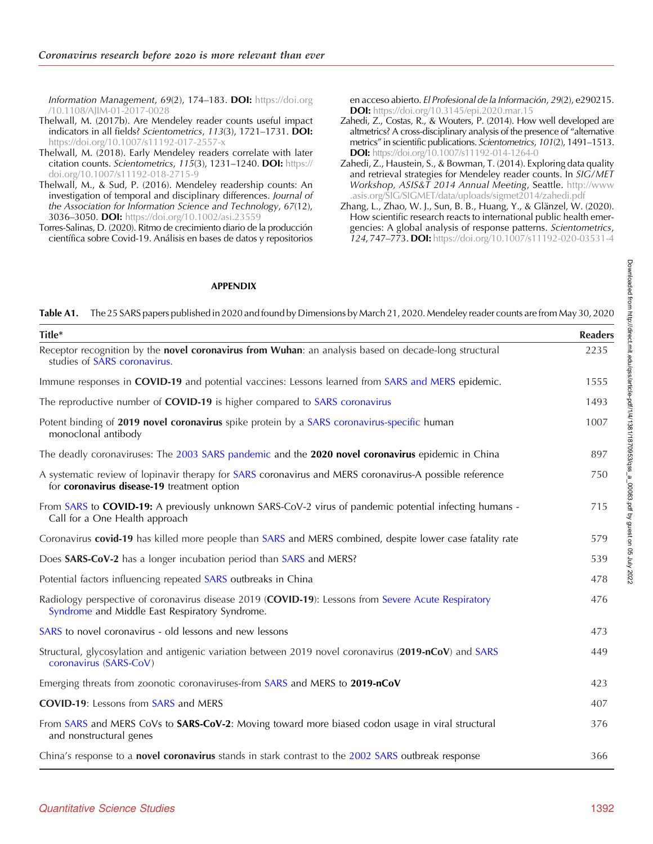<span id="page-11-0"></span>Information Management, 69(2), 174-183. DOI: [https://doi.org](https://doi.org/10.1108/AJIM-01-2017-0028) [/10.1108/AJIM-01-2017-0028](https://doi.org/10.1108/AJIM-01-2017-0028)

- Thelwall, M. (2017b). Are Mendeley reader counts useful impact indicators in all fields? Scientometrics, 113(3), 1721–1731. DOI: <https://doi.org/10.1007/s11192-017-2557-x>
- Thelwall, M. (2018). Early Mendeley readers correlate with later citation counts. Scientometrics, 115(3), 1231-1240. DOI: [https://](https://doi.org/10.1007/s11192-018-2715-9) [doi.org/10.1007/s11192-018-2715-9](https://doi.org/10.1007/s11192-018-2715-9)
- Thelwall, M., & Sud, P. (2016). Mendeley readership counts: An investigation of temporal and disciplinary differences. Journal of the Association for Information Science and Technology, 67(12), 3036–3050. DOI: <https://doi.org/10.1002/asi.23559>
- Torres-Salinas, D. (2020). Ritmo de crecimiento diario de la producción científica sobre Covid-19. Análisis en bases de datos y repositorios

en acceso abierto. El Profesional de la Información, 29(2), e290215. DOI: <https://doi.org/10.3145/epi.2020.mar.15>

- Zahedi, Z., Costas, R., & Wouters, P. (2014). How well developed are altmetrics? A cross-disciplinary analysis of the presence of "alternative metrics" in scientific publications. Scientometrics, 101(2), 1491–1513. DOI: <https://doi.org/10.1007/s11192-014-1264-0>
- Zahedi, Z., Haustein, S., & Bowman, T. (2014). Exploring data quality and retrieval strategies for Mendeley reader counts. In SIG/MET Workshop, ASIS&T 2014 Annual Meeting, Seattle. [http://www](http://www.asis.org/SIG/SIGMET/data/uploads/sigmet2014/zahedi.pdf) [.asis.org/SIG/SIGMET/data/uploads/sigmet2014/zahedi.pdf](http://www.asis.org/SIG/SIGMET/data/uploads/sigmet2014/zahedi.pdf)
- Zhang, L., Zhao, W. J., Sun, B. B., Huang, Y., & Glänzel, W. (2020). How scientific research reacts to international public health emergencies: A global analysis of response patterns. Scientometrics, 124, 747–773. DOI: <https://doi.org/10.1007/s11192-020-03531-4>

#### APPENDIX

Table A1. The 25 SARS papers published in 2020 and found by Dimensions by March 21, 2020. Mendeley reader counts are from May 30, 2020

| Title*                                                                                                                                                 | <b>Readers</b> |
|--------------------------------------------------------------------------------------------------------------------------------------------------------|----------------|
| Receptor recognition by the novel coronavirus from Wuhan: an analysis based on decade-long structural<br>studies of SARS coronavirus.                  | 2235           |
| Immune responses in COVID-19 and potential vaccines: Lessons learned from SARS and MERS epidemic.                                                      | 1555           |
| The reproductive number of COVID-19 is higher compared to SARS coronavirus                                                                             | 1493           |
| Potent binding of 2019 novel coronavirus spike protein by a SARS coronavirus-specific human<br>monoclonal antibody                                     | 1007           |
| The deadly coronaviruses: The 2003 SARS pandemic and the 2020 novel coronavirus epidemic in China                                                      | 897            |
| A systematic review of lopinavir therapy for SARS coronavirus and MERS coronavirus-A possible reference<br>for coronavirus disease-19 treatment option | 750            |
| From SARS to COVID-19: A previously unknown SARS-CoV-2 virus of pandemic potential infecting humans -<br>Call for a One Health approach                | 715            |
| Coronavirus covid-19 has killed more people than SARS and MERS combined, despite lower case fatality rate                                              | 579            |
| Does SARS-CoV-2 has a longer incubation period than SARS and MERS?                                                                                     | 539            |
| Potential factors influencing repeated SARS outbreaks in China                                                                                         | 478            |
| Radiology perspective of coronavirus disease 2019 (COVID-19): Lessons from Severe Acute Respiratory<br>Syndrome and Middle East Respiratory Syndrome.  | 476            |
| SARS to novel coronavirus - old lessons and new lessons                                                                                                | 473            |
| Structural, glycosylation and antigenic variation between 2019 novel coronavirus (2019-nCoV) and SARS<br>coronavirus (SARS-CoV)                        | 449            |
| Emerging threats from zoonotic coronaviruses-from SARS and MERS to 2019-nCoV                                                                           | 423            |
| <b>COVID-19:</b> Lessons from SARS and MERS                                                                                                            | 407            |
| From SARS and MERS CoVs to <b>SARS-CoV-2</b> : Moving toward more biased codon usage in viral structural<br>and nonstructural genes                    | 376            |
| China's response to a novel coronavirus stands in stark contrast to the 2002 SARS outbreak response                                                    | 366            |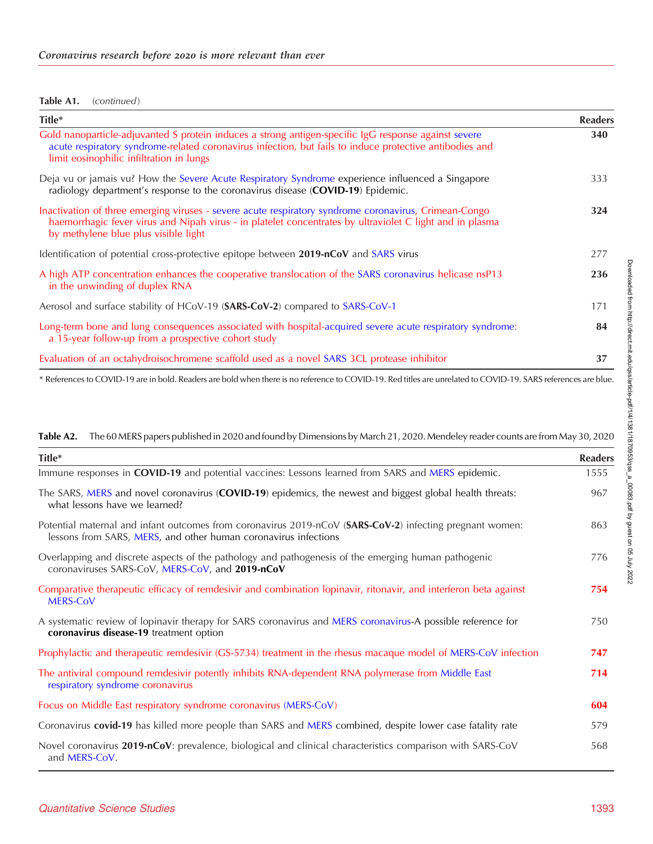#### <span id="page-12-0"></span>Table A1. (continued)

| Title*                                                                                                                                                                                                                                                      | <b>Readers</b> |
|-------------------------------------------------------------------------------------------------------------------------------------------------------------------------------------------------------------------------------------------------------------|----------------|
| Gold nanoparticle-adjuvanted S protein induces a strong antigen-specific IgG response against severe<br>acute respiratory syndrome-related coronavirus infection, but fails to induce protective antibodies and<br>limit eosinophilic infiltration in lungs | 340            |
| Deja vu or jamais vu? How the Severe Acute Respiratory Syndrome experience influenced a Singapore<br>radiology department's response to the coronavirus disease (COVID-19) Epidemic.                                                                        | 333            |
| Inactivation of three emerging viruses - severe acute respiratory syndrome coronavirus, Crimean-Congo<br>haemorrhagic fever virus and Nipah virus - in platelet concentrates by ultraviolet C light and in plasma<br>by methylene blue plus visible light   | 324            |
| Identification of potential cross-protective epitope between 2019-nCoV and SARS virus                                                                                                                                                                       | 277            |
| A high ATP concentration enhances the cooperative translocation of the SARS coronavirus helicase nsP13<br>in the unwinding of duplex RNA                                                                                                                    | 236            |
| Aerosol and surface stability of HCoV-19 (SARS-CoV-2) compared to SARS-CoV-1                                                                                                                                                                                | 171            |
| Long-term bone and lung consequences associated with hospital-acquired severe acute respiratory syndrome:<br>a 15-year follow-up from a prospective cohort study                                                                                            | 84             |
| Evaluation of an octahydroisochromene scaffold used as a novel SARS 3CL protease inhibitor                                                                                                                                                                  | 37             |

\* References to COVID-19 are in bold. Readers are bold when there is no reference to COVID-19. Red titles are unrelated to COVID-19. SARS references are blue.

Table A2. The 60 MERS papers published in 2020 and found by Dimensions by March 21, 2020. Mendeley reader counts are from May 30, 2020 Title\* Readers Immune responses in COVID-19 and potential vaccines: Lessons learned from SARS and MERS epidemic. 1555 The SARS, MERS and novel coronavirus (**COVID-19**) epidemics, the newest and biggest global health threats: what lessons have we learned? 967 Potential maternal and infant outcomes from coronavirus 2019-nCoV (SARS-CoV-2) infecting pregnant women: lessons from SARS, MERS, and other human coronavirus infections 863 Overlapping and discrete aspects of the pathology and pathogenesis of the emerging human pathogenic coronaviruses SARS-CoV, MERS-CoV, and 2019-nCoV 776 Comparative therapeutic efficacy of remdesivir and combination lopinavir, ritonavir, and interferon beta against MERS-CoV 754 A systematic review of lopinavir therapy for SARS coronavirus and MERS coronavirus-A possible reference for coronavirus disease-19 treatment option 750 Prophylactic and therapeutic remdesivir (GS-5734) treatment in the rhesus macaque model of MERS-CoV infection 747 The antiviral compound remdesivir potently inhibits RNA-dependent RNA polymerase from Middle East respiratory syndrome coronavirus 714 Focus on Middle East respiratory syndrome coronavirus (MERS-CoV) 604 Coronavirus covid-19 has killed more people than SARS and MERS combined, despite lower case fatality rate 579 Novel coronavirus 2019-nCoV: prevalence, biological and clinical characteristics comparison with SARS-CoV and MERS-CoV. 568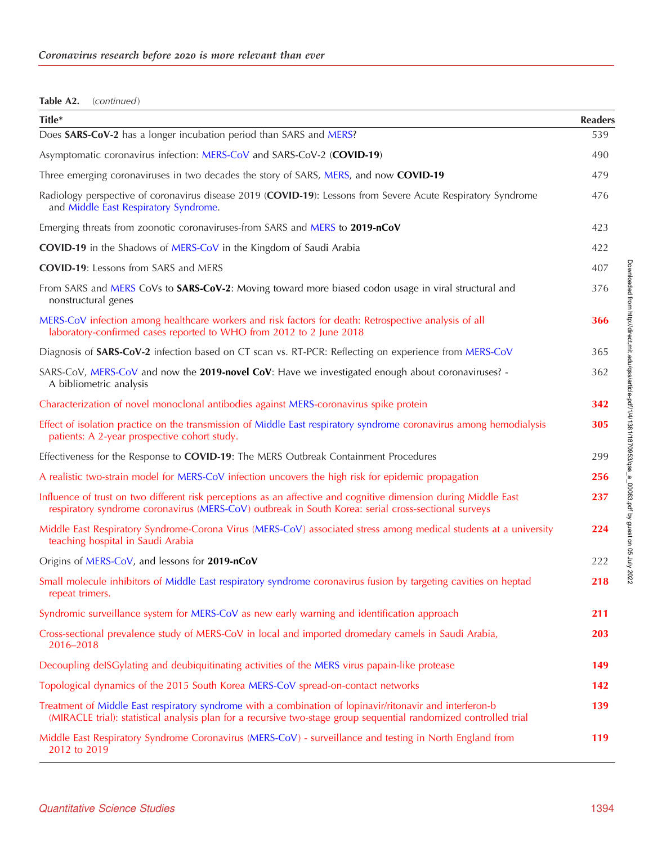# Table A2. (continued)

| Title*                                                                                                                                                                                                                        | <b>Readers</b> |
|-------------------------------------------------------------------------------------------------------------------------------------------------------------------------------------------------------------------------------|----------------|
| Does SARS-CoV-2 has a longer incubation period than SARS and MERS?                                                                                                                                                            | 539            |
| Asymptomatic coronavirus infection: MERS-CoV and SARS-CoV-2 (COVID-19)                                                                                                                                                        | 490            |
| Three emerging coronaviruses in two decades the story of SARS, MERS, and now COVID-19                                                                                                                                         | 479            |
| Radiology perspective of coronavirus disease 2019 (COVID-19): Lessons from Severe Acute Respiratory Syndrome<br>and Middle East Respiratory Syndrome.                                                                         | 476            |
| Emerging threats from zoonotic coronaviruses-from SARS and MERS to 2019-nCoV                                                                                                                                                  | 423            |
| <b>COVID-19</b> in the Shadows of MERS-CoV in the Kingdom of Saudi Arabia                                                                                                                                                     | 422            |
| <b>COVID-19:</b> Lessons from SARS and MERS                                                                                                                                                                                   | 407            |
| From SARS and MERS CoVs to SARS-CoV-2: Moving toward more biased codon usage in viral structural and<br>nonstructural genes                                                                                                   | 376            |
| MERS-CoV infection among healthcare workers and risk factors for death: Retrospective analysis of all<br>laboratory-confirmed cases reported to WHO from 2012 to 2 June 2018                                                  | 366            |
| Diagnosis of <b>SARS-CoV-2</b> infection based on CT scan vs. RT-PCR: Reflecting on experience from MERS-CoV                                                                                                                  | 365            |
| SARS-CoV, MERS-CoV and now the 2019-novel CoV: Have we investigated enough about coronaviruses? -<br>A bibliometric analysis                                                                                                  | 362            |
| Characterization of novel monoclonal antibodies against MERS-coronavirus spike protein                                                                                                                                        | 342            |
| Effect of isolation practice on the transmission of Middle East respiratory syndrome coronavirus among hemodialysis<br>patients: A 2-year prospective cohort study.                                                           | 305            |
| Effectiveness for the Response to COVID-19: The MERS Outbreak Containment Procedures                                                                                                                                          | 299            |
| A realistic two-strain model for MERS-CoV infection uncovers the high risk for epidemic propagation                                                                                                                           | 256            |
| Influence of trust on two different risk perceptions as an affective and cognitive dimension during Middle East<br>respiratory syndrome coronavirus (MERS-CoV) outbreak in South Korea: serial cross-sectional surveys        | 237            |
| Middle East Respiratory Syndrome-Corona Virus (MERS-CoV) associated stress among medical students at a university<br>teaching hospital in Saudi Arabia                                                                        | 224            |
| Origins of MERS-CoV, and lessons for 2019-nCoV                                                                                                                                                                                | 222            |
| Small molecule inhibitors of Middle East respiratory syndrome coronavirus fusion by targeting cavities on heptad<br>repeat trimers.                                                                                           | 218            |
| Syndromic surveillance system for MERS-CoV as new early warning and identification approach                                                                                                                                   | 211            |
| Cross-sectional prevalence study of MERS-CoV in local and imported dromedary camels in Saudi Arabia,<br>2016-2018                                                                                                             | <b>203</b>     |
| Decoupling delSGylating and deubiquitinating activities of the MERS virus papain-like protease                                                                                                                                | 149            |
| Topological dynamics of the 2015 South Korea MERS-CoV spread-on-contact networks                                                                                                                                              | 142            |
| Treatment of Middle East respiratory syndrome with a combination of lopinavir/ritonavir and interferon-b<br>(MIRACLE trial): statistical analysis plan for a recursive two-stage group sequential randomized controlled trial | 139            |
| Middle East Respiratory Syndrome Coronavirus (MERS-CoV) - surveillance and testing in North England from<br>2012 to 2019                                                                                                      | 119            |

Downloaded from http://direct.mit.edu/qss/article-pdf/1/4/1381/1870953/qss\_a\_00083.pdf by guest on 05 July 2022 Downloaded from http://direct.mit.edu/qss/article-pdf/1/4/1381/1870953/qss\_a\_00083.pdf by guest on 05 July 2022